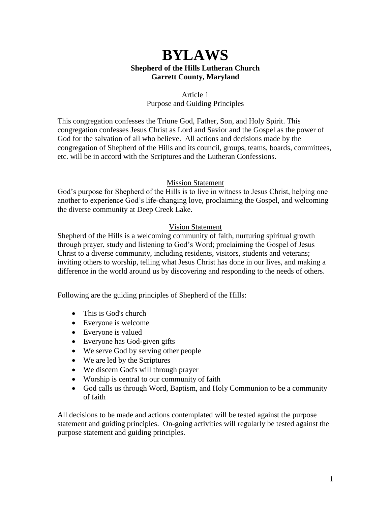# **BYLAWS Shepherd of the Hills Lutheran Church Garrett County, Maryland**

### Article 1 Purpose and Guiding Principles

This congregation confesses the Triune God, Father, Son, and Holy Spirit. This congregation confesses Jesus Christ as Lord and Savior and the Gospel as the power of God for the salvation of all who believe. All actions and decisions made by the congregation of Shepherd of the Hills and its council, groups, teams, boards, committees, etc. will be in accord with the Scriptures and the Lutheran Confessions.

# Mission Statement

God's purpose for Shepherd of the Hills is to live in witness to Jesus Christ, helping one another to experience God's life-changing love, proclaiming the Gospel, and welcoming the diverse community at Deep Creek Lake.

# Vision Statement

Shepherd of the Hills is a welcoming community of faith, nurturing spiritual growth through prayer, study and listening to God's Word; proclaiming the Gospel of Jesus Christ to a diverse community, including residents, visitors, students and veterans; inviting others to worship, telling what Jesus Christ has done in our lives, and making a difference in the world around us by discovering and responding to the needs of others.

Following are the guiding principles of Shepherd of the Hills:

- This is God's church
- Everyone is welcome
- Everyone is valued
- Everyone has God-given gifts
- We serve God by serving other people
- We are led by the Scriptures
- We discern God's will through prayer
- Worship is central to our community of faith
- God calls us through Word, Baptism, and Holy Communion to be a community of faith

All decisions to be made and actions contemplated will be tested against the purpose statement and guiding principles. On-going activities will regularly be tested against the purpose statement and guiding principles.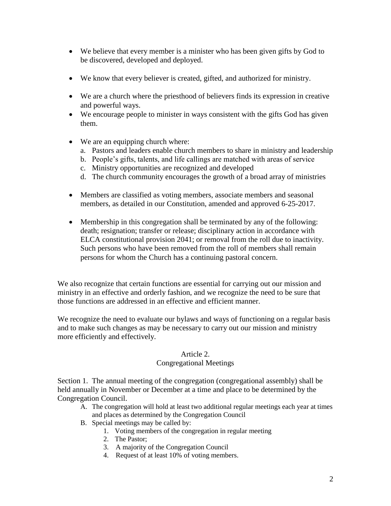- We believe that every member is a minister who has been given gifts by God to be discovered, developed and deployed.
- We know that every believer is created, gifted, and authorized for ministry.
- We are a church where the priesthood of believers finds its expression in creative and powerful ways.
- We encourage people to minister in ways consistent with the gifts God has given them.
- We are an equipping church where:
	- a. Pastors and leaders enable church members to share in ministry and leadership
	- b. People's gifts, talents, and life callings are matched with areas of service
	- c. Ministry opportunities are recognized and developed
	- d. The church community encourages the growth of a broad array of ministries
- Members are classified as voting members, associate members and seasonal members, as detailed in our Constitution, amended and approved 6-25-2017.
- Membership in this congregation shall be terminated by any of the following: death; resignation; transfer or release; disciplinary action in accordance with ELCA constitutional provision 2041; or removal from the roll due to inactivity. Such persons who have been removed from the roll of members shall remain persons for whom the Church has a continuing pastoral concern.

We also recognize that certain functions are essential for carrying out our mission and ministry in an effective and orderly fashion, and we recognize the need to be sure that those functions are addressed in an effective and efficient manner.

We recognize the need to evaluate our bylaws and ways of functioning on a regular basis and to make such changes as may be necessary to carry out our mission and ministry more efficiently and effectively.

### Article 2.

# Congregational Meetings

Section 1. The annual meeting of the congregation (congregational assembly) shall be held annually in November or December at a time and place to be determined by the Congregation Council.

- A. The congregation will hold at least two additional regular meetings each year at times and places as determined by the Congregation Council
- B. Special meetings may be called by:
	- 1. Voting members of the congregation in regular meeting
	- 2. The Pastor;
	- 3. A majority of the Congregation Council
	- 4. Request of at least 10% of voting members.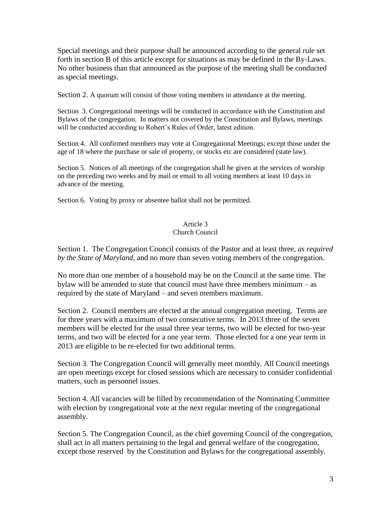Special meetings and their purpose shall be announced according to the general rule set forth in section B of this article except for situations as may be defined in the By-Laws. No other business than that announced as the purpose of the meeting shall be conducted as special meetings.

Section 2. A quorum will consist of those voting members in attendance at the meeting.

Section 3. Congregational meetings will be conducted in accordance with the Constitution and Bylaws of the congregation. In matters not covered by the Constitution and Bylaws, meetings will be conducted according to Robert's Rules of Order, latest edition.

Section 4. All confirmed members may vote at Congregational Meetings; except those under the age of 18 where the purchase or sale of property, or stocks etc are considered (state law).

Section 5. Notices of all meetings of the congregation shall be given at the services of worship on the preceding two weeks and by mail or email to all voting members at least 10 days in advance of the meeting.

Section 6. Voting by proxy or absentee ballot shall not be permitted.

#### Article 3 Church Council

Section 1. The Congregation Council consists of the Pastor and at least three, *as required by the State of Maryland*, and no more than seven voting members of the congregation.

No more than one member of a household may be on the Council at the same time. The bylaw will be amended to state that council must have three members minimum – as required by the state of Maryland – and seven members maximum.

Section 2. Council members are elected at the annual congregation meeting. Terms are for three years with a maximum of two consecutive terms. In 2013 three of the seven members will be elected for the usual three year terms, two will be elected for two-year terms, and two will be elected for a one year term. Those elected for a one year term in 2013 are eligible to be re-elected for two additional terms.

Section 3. The Congregation Council will generally meet monthly. All Council meetings are open meetings except for closed sessions which are necessary to consider confidential matters, such as personnel issues.

Section 4. All vacancies will be filled by recommendation of the Nominating Committee with election by congregational vote at the next regular meeting of the congregational assembly.

Section 5. The Congregation Council, as the chief governing Council of the congregation, shall act in all matters pertaining to the legal and general welfare of the congregation, except those reserved by the Constitution and Bylaws for the congregational assembly.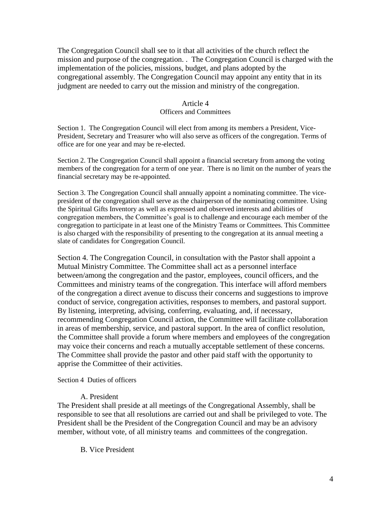The Congregation Council shall see to it that all activities of the church reflect the mission and purpose of the congregation. . The Congregation Council is charged with the implementation of the policies, missions, budget, and plans adopted by the congregational assembly. The Congregation Council may appoint any entity that in its judgment are needed to carry out the mission and ministry of the congregation.

#### Article 4

#### Officers and Committees

Section 1. The Congregation Council will elect from among its members a President, Vice-President, Secretary and Treasurer who will also serve as officers of the congregation. Terms of office are for one year and may be re-elected.

Section 2. The Congregation Council shall appoint a financial secretary from among the voting members of the congregation for a term of one year. There is no limit on the number of years the financial secretary may be re-appointed.

Section 3. The Congregation Council shall annually appoint a nominating committee. The vicepresident of the congregation shall serve as the chairperson of the nominating committee. Using the Spiritual Gifts Inventory as well as expressed and observed interests and abilities of congregation members, the Committee's goal is to challenge and encourage each member of the congregation to participate in at least one of the Ministry Teams or Committees. This Committee is also charged with the responsibility of presenting to the congregation at its annual meeting a slate of candidates for Congregation Council.

Section 4. The Congregation Council, in consultation with the Pastor shall appoint a Mutual Ministry Committee. The Committee shall act as a personnel interface between/among the congregation and the pastor, employees, council officers, and the Committees and ministry teams of the congregation. This interface will afford members of the congregation a direct avenue to discuss their concerns and suggestions to improve conduct of service, congregation activities, responses to members, and pastoral support. By listening, interpreting, advising, conferring, evaluating, and, if necessary, recommending Congregation Council action, the Committee will facilitate collaboration in areas of membership, service, and pastoral support. In the area of conflict resolution, the Committee shall provide a forum where members and employees of the congregation may voice their concerns and reach a mutually acceptable settlement of these concerns. The Committee shall provide the pastor and other paid staff with the opportunity to apprise the Committee of their activities.

#### Section 4 Duties of officers

#### A. President

The President shall preside at all meetings of the Congregational Assembly, shall be responsible to see that all resolutions are carried out and shall be privileged to vote. The President shall be the President of the Congregation Council and may be an advisory member, without vote, of all ministry teams and committees of the congregation.

#### B. Vice President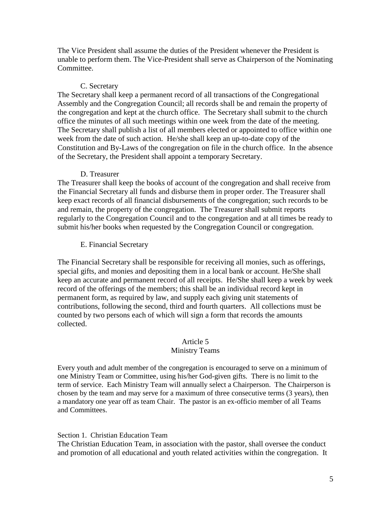The Vice President shall assume the duties of the President whenever the President is unable to perform them. The Vice-President shall serve as Chairperson of the Nominating Committee.

## C. Secretary

The Secretary shall keep a permanent record of all transactions of the Congregational Assembly and the Congregation Council; all records shall be and remain the property of the congregation and kept at the church office. The Secretary shall submit to the church office the minutes of all such meetings within one week from the date of the meeting. The Secretary shall publish a list of all members elected or appointed to office within one week from the date of such action. He/she shall keep an up-to-date copy of the Constitution and By-Laws of the congregation on file in the church office. In the absence of the Secretary, the President shall appoint a temporary Secretary.

#### D. Treasurer

The Treasurer shall keep the books of account of the congregation and shall receive from the Financial Secretary all funds and disburse them in proper order. The Treasurer shall keep exact records of all financial disbursements of the congregation; such records to be and remain, the property of the congregation. The Treasurer shall submit reports regularly to the Congregation Council and to the congregation and at all times be ready to submit his/her books when requested by the Congregation Council or congregation.

#### E. Financial Secretary

The Financial Secretary shall be responsible for receiving all monies, such as offerings, special gifts, and monies and depositing them in a local bank or account. He/She shall keep an accurate and permanent record of all receipts. He/She shall keep a week by week record of the offerings of the members; this shall be an individual record kept in permanent form, as required by law, and supply each giving unit statements of contributions, following the second, third and fourth quarters. All collections must be counted by two persons each of which will sign a form that records the amounts collected.

#### Article 5

#### Ministry Teams

Every youth and adult member of the congregation is encouraged to serve on a minimum of one Ministry Team or Committee, using his/her God-given gifts. There is no limit to the term of service. Each Ministry Team will annually select a Chairperson. The Chairperson is chosen by the team and may serve for a maximum of three consecutive terms (3 years), then a mandatory one year off as team Chair. The pastor is an ex-officio member of all Teams and Committees.

### Section 1. Christian Education Team

The Christian Education Team, in association with the pastor, shall oversee the conduct and promotion of all educational and youth related activities within the congregation. It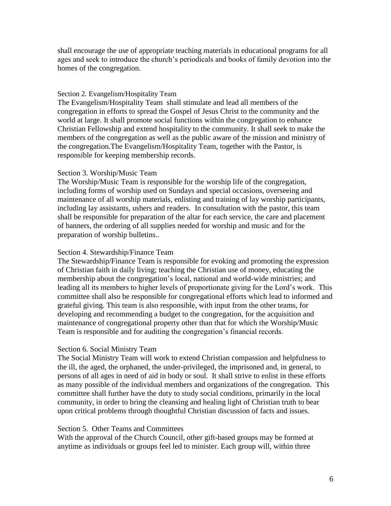shall encourage the use of appropriate teaching materials in educational programs for all ages and seek to introduce the church's periodicals and books of family devotion into the homes of the congregation.

#### Section 2. Evangelism/Hospitality Team

The Evangelism/Hospitality Team shall stimulate and lead all members of the congregation in efforts to spread the Gospel of Jesus Christ to the community and the world at large. It shall promote social functions within the congregation to enhance Christian Fellowship and extend hospitality to the community. It shall seek to make the members of the congregation as well as the public aware of the mission and ministry of the congregation.The Evangelism/Hospitality Team, together with the Pastor, is responsible for keeping membership records.

### Section 3. Worship/Music Team

The Worship/Music Team is responsible for the worship life of the congregation, including forms of worship used on Sundays and special occasions, overseeing and maintenance of all worship materials, enlisting and training of lay worship participants, including lay assistants, ushers and readers. In consultation with the pastor, this team shall be responsible for preparation of the altar for each service, the care and placement of banners, the ordering of all supplies needed for worship and music and for the preparation of worship bulletins..

#### Section 4. Stewardship/Finance Team

The Stewardship/Finance Team is responsible for evoking and promoting the expression of Christian faith in daily living; teaching the Christian use of money, educating the membership about the congregation's local, national and world-wide ministries; and leading all its members to higher levels of proportionate giving for the Lord's work. This committee shall also be responsible for congregational efforts which lead to informed and grateful giving. This team is also responsible, with input from the other teams, for developing and recommending a budget to the congregation, for the acquisition and maintenance of congregational property other than that for which the Worship/Music Team is responsible and for auditing the congregation's financial records.

### Section 6. Social Ministry Team

The Social Ministry Team will work to extend Christian compassion and helpfulness to the ill, the aged, the orphaned, the under-privileged, the imprisoned and, in general, to persons of all ages in need of aid in body or soul. It shall strive to enlist in these efforts as many possible of the individual members and organizations of the congregation. This committee shall further have the duty to study social conditions, primarily in the local community, in order to bring the cleansing and healing light of Christian truth to bear upon critical problems through thoughtful Christian discussion of facts and issues.

#### Section 5. Other Teams and Committees

With the approval of the Church Council, other gift-based groups may be formed at anytime as individuals or groups feel led to minister. Each group will, within three